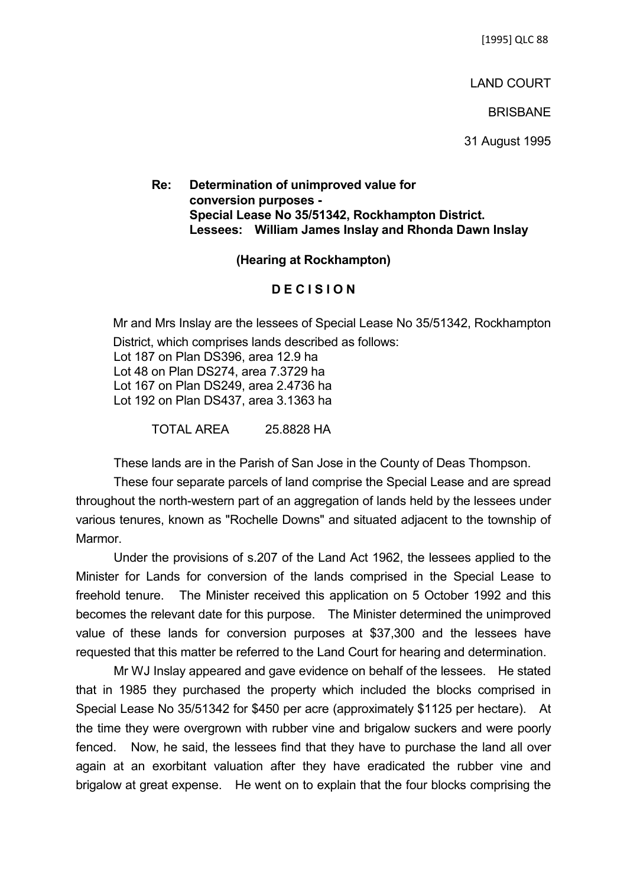[1995] QLC 88

LAND COURT

**BRISBANE** 

31 August 1995

## **Re: Determination of unimproved value for conversion purposes - Special Lease No 35/51342, Rockhampton District. Lessees: William James Inslay and Rhonda Dawn Inslay**

## **(Hearing at Rockhampton)**

## **D E C I S I O N**

Mr and Mrs Inslay are the lessees of Special Lease No 35/51342, Rockhampton District, which comprises lands described as follows: Lot 187 on Plan DS396, area 12.9 ha Lot 48 on Plan DS274, area 7.3729 ha Lot 167 on Plan DS249, area 2.4736 ha Lot 192 on Plan DS437, area 3.1363 ha

TOTAL AREA 25.8828 HA

These lands are in the Parish of San Jose in the County of Deas Thompson.

These four separate parcels of land comprise the Special Lease and are spread throughout the north-western part of an aggregation of lands held by the lessees under various tenures, known as "Rochelle Downs" and situated adjacent to the township of Marmor.

Under the provisions of s.207 of the Land Act 1962, the lessees applied to the Minister for Lands for conversion of the lands comprised in the Special Lease to freehold tenure. The Minister received this application on 5 October 1992 and this becomes the relevant date for this purpose. The Minister determined the unimproved value of these lands for conversion purposes at \$37,300 and the lessees have requested that this matter be referred to the Land Court for hearing and determination.

Mr WJ Inslay appeared and gave evidence on behalf of the lessees. He stated that in 1985 they purchased the property which included the blocks comprised in Special Lease No 35/51342 for \$450 per acre (approximately \$1125 per hectare). At the time they were overgrown with rubber vine and brigalow suckers and were poorly fenced. Now, he said, the lessees find that they have to purchase the land all over again at an exorbitant valuation after they have eradicated the rubber vine and brigalow at great expense. He went on to explain that the four blocks comprising the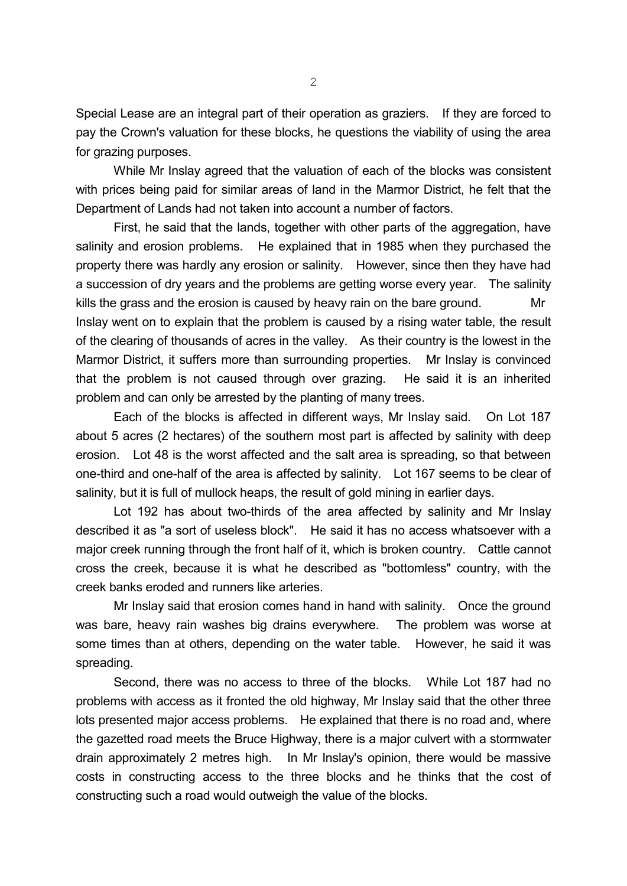Special Lease are an integral part of their operation as graziers. If they are forced to pay the Crown's valuation for these blocks, he questions the viability of using the area for grazing purposes.

While Mr Inslay agreed that the valuation of each of the blocks was consistent with prices being paid for similar areas of land in the Marmor District, he felt that the Department of Lands had not taken into account a number of factors.

First, he said that the lands, together with other parts of the aggregation, have salinity and erosion problems. He explained that in 1985 when they purchased the property there was hardly any erosion or salinity. However, since then they have had a succession of dry years and the problems are getting worse every year. The salinity kills the grass and the erosion is caused by heavy rain on the bare ground. Mr Inslay went on to explain that the problem is caused by a rising water table, the result of the clearing of thousands of acres in the valley. As their country is the lowest in the Marmor District, it suffers more than surrounding properties. Mr Inslay is convinced that the problem is not caused through over grazing. He said it is an inherited problem and can only be arrested by the planting of many trees.

Each of the blocks is affected in different ways, Mr Inslay said. On Lot 187 about 5 acres (2 hectares) of the southern most part is affected by salinity with deep erosion. Lot 48 is the worst affected and the salt area is spreading, so that between one-third and one-half of the area is affected by salinity. Lot 167 seems to be clear of salinity, but it is full of mullock heaps, the result of gold mining in earlier days.

Lot 192 has about two-thirds of the area affected by salinity and Mr Inslay described it as "a sort of useless block". He said it has no access whatsoever with a major creek running through the front half of it, which is broken country. Cattle cannot cross the creek, because it is what he described as "bottomless" country, with the creek banks eroded and runners like arteries.

Mr Inslay said that erosion comes hand in hand with salinity. Once the ground was bare, heavy rain washes big drains everywhere. The problem was worse at some times than at others, depending on the water table. However, he said it was spreading.

Second, there was no access to three of the blocks. While Lot 187 had no problems with access as it fronted the old highway, Mr Inslay said that the other three lots presented major access problems. He explained that there is no road and, where the gazetted road meets the Bruce Highway, there is a major culvert with a stormwater drain approximately 2 metres high. In Mr Inslay's opinion, there would be massive costs in constructing access to the three blocks and he thinks that the cost of constructing such a road would outweigh the value of the blocks.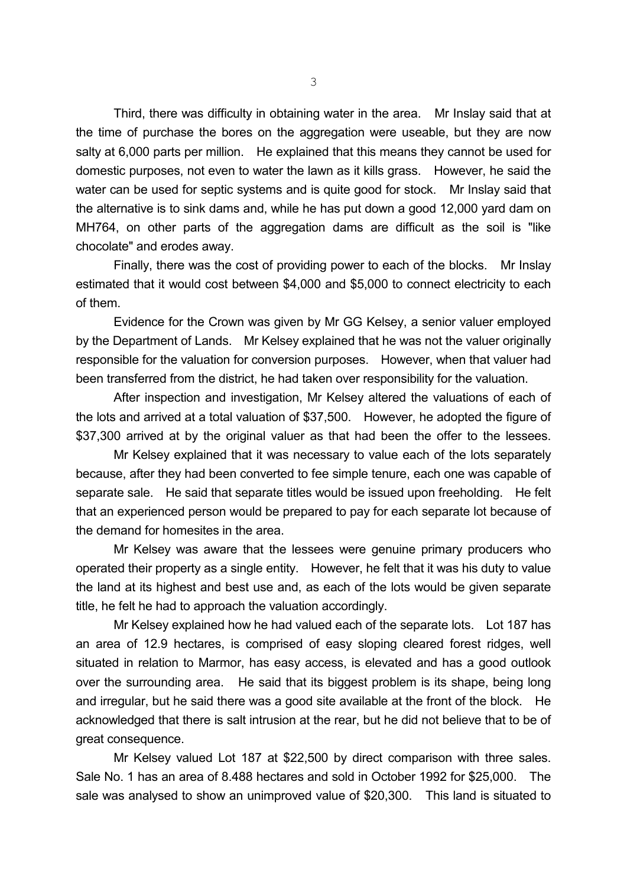Third, there was difficulty in obtaining water in the area. Mr Inslay said that at the time of purchase the bores on the aggregation were useable, but they are now salty at 6,000 parts per million. He explained that this means they cannot be used for domestic purposes, not even to water the lawn as it kills grass. However, he said the water can be used for septic systems and is quite good for stock. Mr Inslay said that the alternative is to sink dams and, while he has put down a good 12,000 yard dam on MH764, on other parts of the aggregation dams are difficult as the soil is "like chocolate" and erodes away.

Finally, there was the cost of providing power to each of the blocks. Mr Inslay estimated that it would cost between \$4,000 and \$5,000 to connect electricity to each of them.

Evidence for the Crown was given by Mr GG Kelsey, a senior valuer employed by the Department of Lands. Mr Kelsey explained that he was not the valuer originally responsible for the valuation for conversion purposes. However, when that valuer had been transferred from the district, he had taken over responsibility for the valuation.

After inspection and investigation, Mr Kelsey altered the valuations of each of the lots and arrived at a total valuation of \$37,500. However, he adopted the figure of \$37,300 arrived at by the original valuer as that had been the offer to the lessees.

Mr Kelsey explained that it was necessary to value each of the lots separately because, after they had been converted to fee simple tenure, each one was capable of separate sale. He said that separate titles would be issued upon freeholding. He felt that an experienced person would be prepared to pay for each separate lot because of the demand for homesites in the area.

Mr Kelsey was aware that the lessees were genuine primary producers who operated their property as a single entity. However, he felt that it was his duty to value the land at its highest and best use and, as each of the lots would be given separate title, he felt he had to approach the valuation accordingly.

Mr Kelsey explained how he had valued each of the separate lots. Lot 187 has an area of 12.9 hectares, is comprised of easy sloping cleared forest ridges, well situated in relation to Marmor, has easy access, is elevated and has a good outlook over the surrounding area. He said that its biggest problem is its shape, being long and irregular, but he said there was a good site available at the front of the block. He acknowledged that there is salt intrusion at the rear, but he did not believe that to be of great consequence.

Mr Kelsey valued Lot 187 at \$22,500 by direct comparison with three sales. Sale No. 1 has an area of 8.488 hectares and sold in October 1992 for \$25,000. The sale was analysed to show an unimproved value of \$20,300. This land is situated to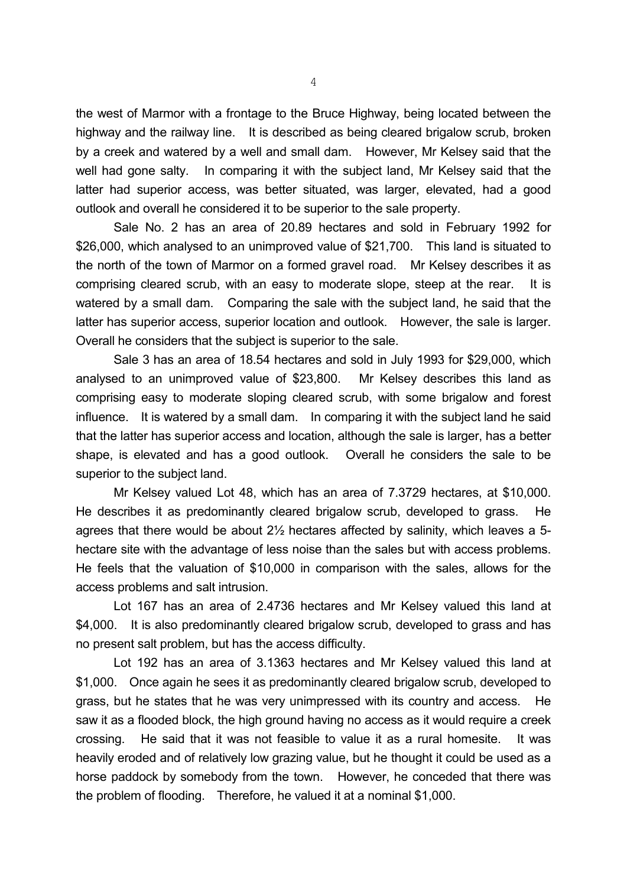the west of Marmor with a frontage to the Bruce Highway, being located between the highway and the railway line. It is described as being cleared brigalow scrub, broken by a creek and watered by a well and small dam. However, Mr Kelsey said that the well had gone salty. In comparing it with the subject land, Mr Kelsey said that the latter had superior access, was better situated, was larger, elevated, had a good outlook and overall he considered it to be superior to the sale property.

Sale No. 2 has an area of 20.89 hectares and sold in February 1992 for \$26,000, which analysed to an unimproved value of \$21,700. This land is situated to the north of the town of Marmor on a formed gravel road. Mr Kelsey describes it as comprising cleared scrub, with an easy to moderate slope, steep at the rear. It is watered by a small dam. Comparing the sale with the subject land, he said that the latter has superior access, superior location and outlook. However, the sale is larger. Overall he considers that the subject is superior to the sale.

Sale 3 has an area of 18.54 hectares and sold in July 1993 for \$29,000, which analysed to an unimproved value of \$23,800. Mr Kelsey describes this land as comprising easy to moderate sloping cleared scrub, with some brigalow and forest influence. It is watered by a small dam. In comparing it with the subject land he said that the latter has superior access and location, although the sale is larger, has a better shape, is elevated and has a good outlook. Overall he considers the sale to be superior to the subject land.

Mr Kelsey valued Lot 48, which has an area of 7.3729 hectares, at \$10,000. He describes it as predominantly cleared brigalow scrub, developed to grass. He agrees that there would be about 2½ hectares affected by salinity, which leaves a 5 hectare site with the advantage of less noise than the sales but with access problems. He feels that the valuation of \$10,000 in comparison with the sales, allows for the access problems and salt intrusion.

Lot 167 has an area of 2.4736 hectares and Mr Kelsey valued this land at \$4,000. It is also predominantly cleared brigalow scrub, developed to grass and has no present salt problem, but has the access difficulty.

Lot 192 has an area of 3.1363 hectares and Mr Kelsey valued this land at \$1,000. Once again he sees it as predominantly cleared brigalow scrub, developed to grass, but he states that he was very unimpressed with its country and access. He saw it as a flooded block, the high ground having no access as it would require a creek crossing. He said that it was not feasible to value it as a rural homesite. It was heavily eroded and of relatively low grazing value, but he thought it could be used as a horse paddock by somebody from the town. However, he conceded that there was the problem of flooding. Therefore, he valued it at a nominal \$1,000.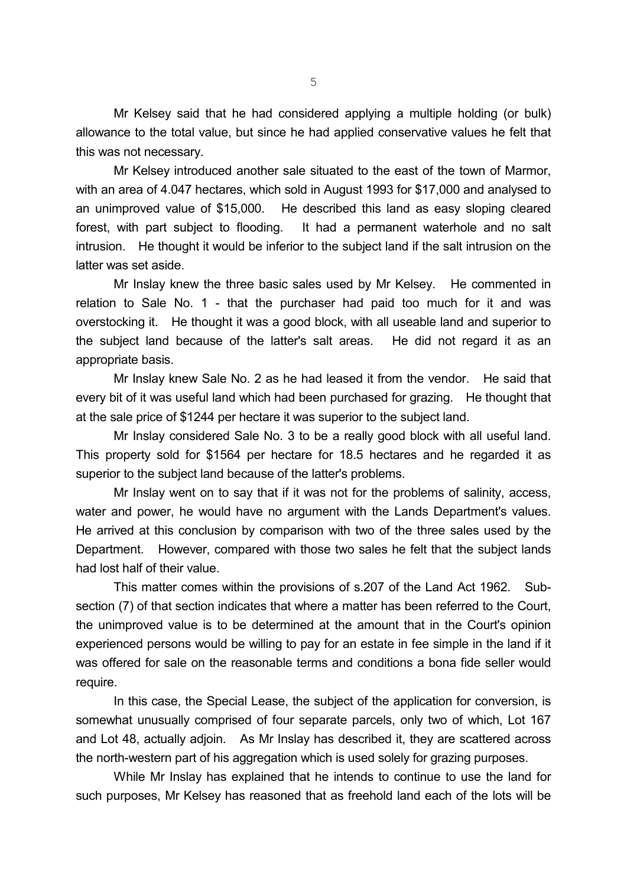Mr Kelsey said that he had considered applying a multiple holding (or bulk) allowance to the total value, but since he had applied conservative values he felt that this was not necessary.

Mr Kelsey introduced another sale situated to the east of the town of Marmor, with an area of 4.047 hectares, which sold in August 1993 for \$17,000 and analysed to an unimproved value of \$15,000. He described this land as easy sloping cleared forest, with part subject to flooding. It had a permanent waterhole and no salt intrusion. He thought it would be inferior to the subject land if the salt intrusion on the latter was set aside.

Mr Inslay knew the three basic sales used by Mr Kelsey. He commented in relation to Sale No. 1 - that the purchaser had paid too much for it and was overstocking it. He thought it was a good block, with all useable land and superior to the subject land because of the latter's salt areas. He did not regard it as an appropriate basis.

Mr Inslay knew Sale No. 2 as he had leased it from the vendor. He said that every bit of it was useful land which had been purchased for grazing. He thought that at the sale price of \$1244 per hectare it was superior to the subject land.

Mr Inslay considered Sale No. 3 to be a really good block with all useful land. This property sold for \$1564 per hectare for 18.5 hectares and he regarded it as superior to the subject land because of the latter's problems.

Mr Inslay went on to say that if it was not for the problems of salinity, access, water and power, he would have no argument with the Lands Department's values. He arrived at this conclusion by comparison with two of the three sales used by the Department. However, compared with those two sales he felt that the subject lands had lost half of their value.

This matter comes within the provisions of s.207 of the Land Act 1962. Subsection (7) of that section indicates that where a matter has been referred to the Court, the unimproved value is to be determined at the amount that in the Court's opinion experienced persons would be willing to pay for an estate in fee simple in the land if it was offered for sale on the reasonable terms and conditions a bona fide seller would require.

In this case, the Special Lease, the subject of the application for conversion, is somewhat unusually comprised of four separate parcels, only two of which, Lot 167 and Lot 48, actually adjoin. As Mr Inslay has described it, they are scattered across the north-western part of his aggregation which is used solely for grazing purposes.

While Mr Inslay has explained that he intends to continue to use the land for such purposes, Mr Kelsey has reasoned that as freehold land each of the lots will be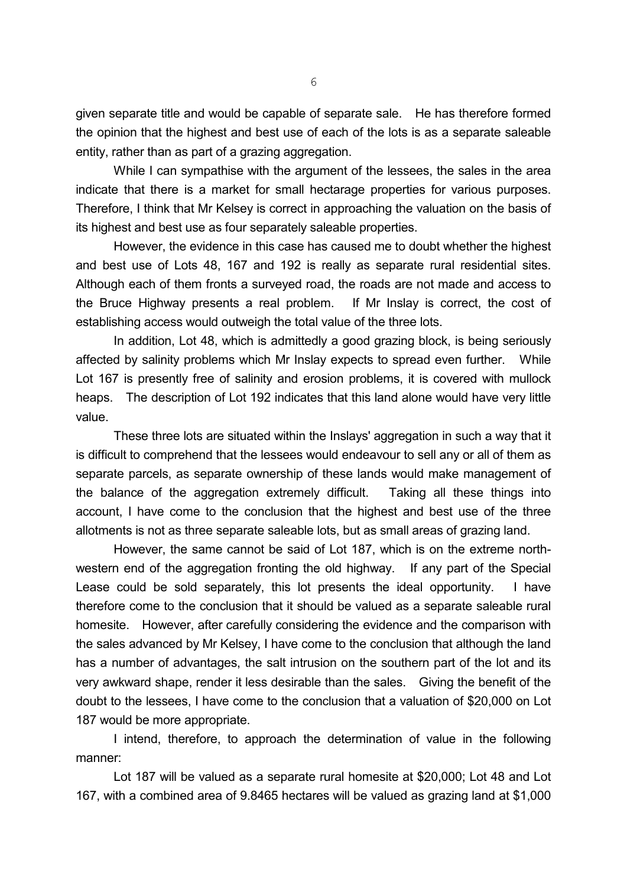given separate title and would be capable of separate sale. He has therefore formed the opinion that the highest and best use of each of the lots is as a separate saleable entity, rather than as part of a grazing aggregation.

While I can sympathise with the argument of the lessees, the sales in the area indicate that there is a market for small hectarage properties for various purposes. Therefore, I think that Mr Kelsey is correct in approaching the valuation on the basis of its highest and best use as four separately saleable properties.

However, the evidence in this case has caused me to doubt whether the highest and best use of Lots 48, 167 and 192 is really as separate rural residential sites. Although each of them fronts a surveyed road, the roads are not made and access to the Bruce Highway presents a real problem. If Mr Inslay is correct, the cost of establishing access would outweigh the total value of the three lots.

In addition, Lot 48, which is admittedly a good grazing block, is being seriously affected by salinity problems which Mr Inslay expects to spread even further. While Lot 167 is presently free of salinity and erosion problems, it is covered with mullock heaps. The description of Lot 192 indicates that this land alone would have very little value.

These three lots are situated within the Inslays' aggregation in such a way that it is difficult to comprehend that the lessees would endeavour to sell any or all of them as separate parcels, as separate ownership of these lands would make management of the balance of the aggregation extremely difficult. Taking all these things into account, I have come to the conclusion that the highest and best use of the three allotments is not as three separate saleable lots, but as small areas of grazing land.

However, the same cannot be said of Lot 187, which is on the extreme northwestern end of the aggregation fronting the old highway. If any part of the Special Lease could be sold separately, this lot presents the ideal opportunity. I have therefore come to the conclusion that it should be valued as a separate saleable rural homesite. However, after carefully considering the evidence and the comparison with the sales advanced by Mr Kelsey, I have come to the conclusion that although the land has a number of advantages, the salt intrusion on the southern part of the lot and its very awkward shape, render it less desirable than the sales. Giving the benefit of the doubt to the lessees, I have come to the conclusion that a valuation of \$20,000 on Lot 187 would be more appropriate.

I intend, therefore, to approach the determination of value in the following manner:

Lot 187 will be valued as a separate rural homesite at \$20,000; Lot 48 and Lot 167, with a combined area of 9.8465 hectares will be valued as grazing land at \$1,000